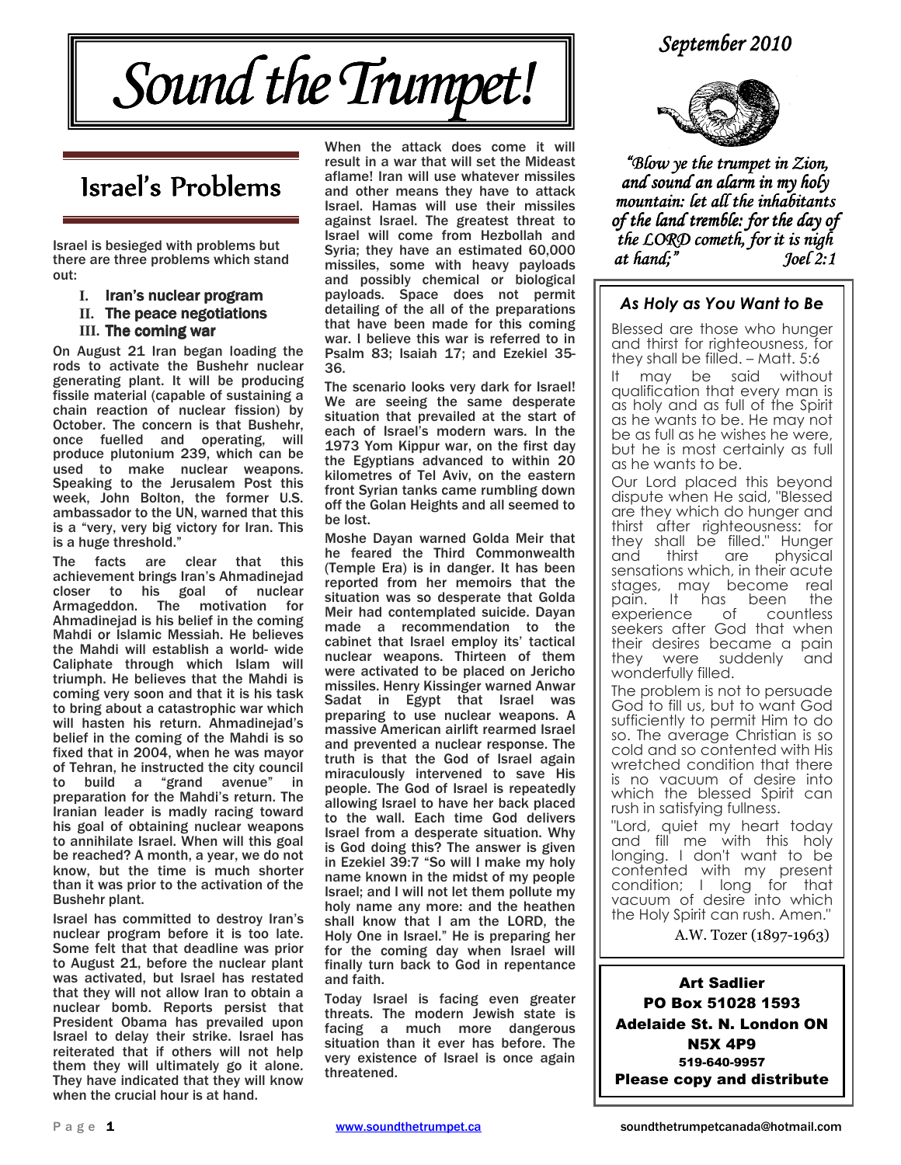#### September 2010



## Israel's Problems

Israel is besieged with problems but there are three problems which stand out:

- **I.** Iran's nuclear program
- **II.** The peace negotiations
- **III.** The coming war

On August 21 Iran began loading the rods to activate the Bushehr nuclear generating plant. It will be producing fissile material (capable of sustaining a chain reaction of nuclear fission) by October. The concern is that Bushehr, once fuelled and operating, will produce plutonium 239, which can be used to make nuclear weapons. Speaking to the Jerusalem Post this week, John Bolton, the former U.S. ambassador to the UN, warned that this is a "very, very big victory for Iran. This is a huge threshold."

The facts are clear that this achievement brings Iran's Ahmadinejad closer to his goal of nuclear Armageddon. The motivation for Ahmadinejad is his belief in the coming Mahdi or Islamic Messiah. He believes the Mahdi will establish a world- wide Caliphate through which Islam will triumph. He believes that the Mahdi is coming very soon and that it is his task to bring about a catastrophic war which will hasten his return. Ahmadinejad's belief in the coming of the Mahdi is so fixed that in 2004, when he was mayor of Tehran, he instructed the city council<br>to build a "grand avenue" in to build a "grand avenue" in preparation for the Mahdi's return. The Iranian leader is madly racing toward his goal of obtaining nuclear weapons to annihilate Israel. When will this goal be reached? A month, a year, we do not know, but the time is much shorter than it was prior to the activation of the Bushehr plant.

Israel has committed to destroy Iran's nuclear program before it is too late. Some felt that that deadline was prior to August 21, before the nuclear plant was activated, but Israel has restated that they will not allow Iran to obtain a nuclear bomb. Reports persist that President Obama has prevailed upon Israel to delay their strike. Israel has reiterated that if others will not help them they will ultimately go it alone. They have indicated that they will know when the crucial hour is at hand.

When the attack does come it will result in a war that will set the Mideast aflame! Iran will use whatever missiles and other means they have to attack Israel. Hamas will use their missiles against Israel. The greatest threat to Israel will come from Hezbollah and Syria; they have an estimated 60,000 missiles, some with heavy payloads and possibly chemical or biological payloads. Space does not permit detailing of the all of the preparations that have been made for this coming war. I believe this war is referred to in Psalm 83; Isaiah 17; and Ezekiel 35- 36.

The scenario looks very dark for Israel! We are seeing the same desperate situation that prevailed at the start of each of Israel's modern wars. In the 1973 Yom Kippur war, on the first day the Egyptians advanced to within 20 kilometres of Tel Aviv, on the eastern front Syrian tanks came rumbling down off the Golan Heights and all seemed to be lost.

Moshe Dayan warned Golda Meir that he feared the Third Commonwealth (Temple Era) is in danger. It has been reported from her memoirs that the situation was so desperate that Golda Meir had contemplated suicide. Dayan made a recommendation to the cabinet that Israel employ its' tactical nuclear weapons. Thirteen of them were activated to be placed on Jericho missiles. Henry Kissinger warned Anwar Sadat in Egypt that Israel was preparing to use nuclear weapons. A massive American airlift rearmed Israel and prevented a nuclear response. The truth is that the God of Israel again miraculously intervened to save His people. The God of Israel is repeatedly allowing Israel to have her back placed to the wall. Each time God delivers Israel from a desperate situation. Why is God doing this? The answer is given in Ezekiel 39:7 "So will I make my holy name known in the midst of my people Israel; and I will not let them pollute my holy name any more: and the heathen shall know that I am the LORD, the Holy One in Israel." He is preparing her for the coming day when Israel will finally turn back to God in repentance and faith.

Today Israel is facing even greater threats. The modern Jewish state is facing a much more dangerous situation than it ever has before. The very existence of Israel is once again threatened.



"Blow ye the trumpet in Zion, and sound an alarm in my holy mountain: let all the inhabitants of the land tremble: for the day of the LORD cometh, for it is nigh at hand;" Joel 2:1

#### As Holy as You Want to Be

Blessed are those who hunger and thirst for righteousness, for they shall be filled. – Matt. 5:6

may be said without qualification that every man is as holy and as full of the Spirit as he wants to be. He may not be as full as he wishes he were, but he is most certainly as full as he wants to be.

Our Lord placed this beyond dispute when He said, "Blessed are they which do hunger and thirst after righteousness: for they shall be filled." Hunger<br>and thirst are physical physical sensations which, in their acute stages, may become real<br>pain. It has been the pain. It has been the<br>experience of countless experience of seekers after God that when their desires became a pain they were suddenly and wonderfully filled.

The problem is not to persuade God to fill us, but to want God sufficiently to permit Him to do so. The average Christian is so cold and so contented with His wretched condition that there is no vacuum of desire into which the blessed Spirit can rush in satisfying fullness.

"Lord, quiet my heart today and fill me with this holy longing. I don't want to be contented with my present condition; I long for that vacuum of desire into which the Holy Spirit can rush. Amen."

A.W. Tozer (1897-1963)

Art Sadlier PO Box 51028 1593 Adelaide St. N. London ON N5X 4P9 519-640-9957 Please copy and distribute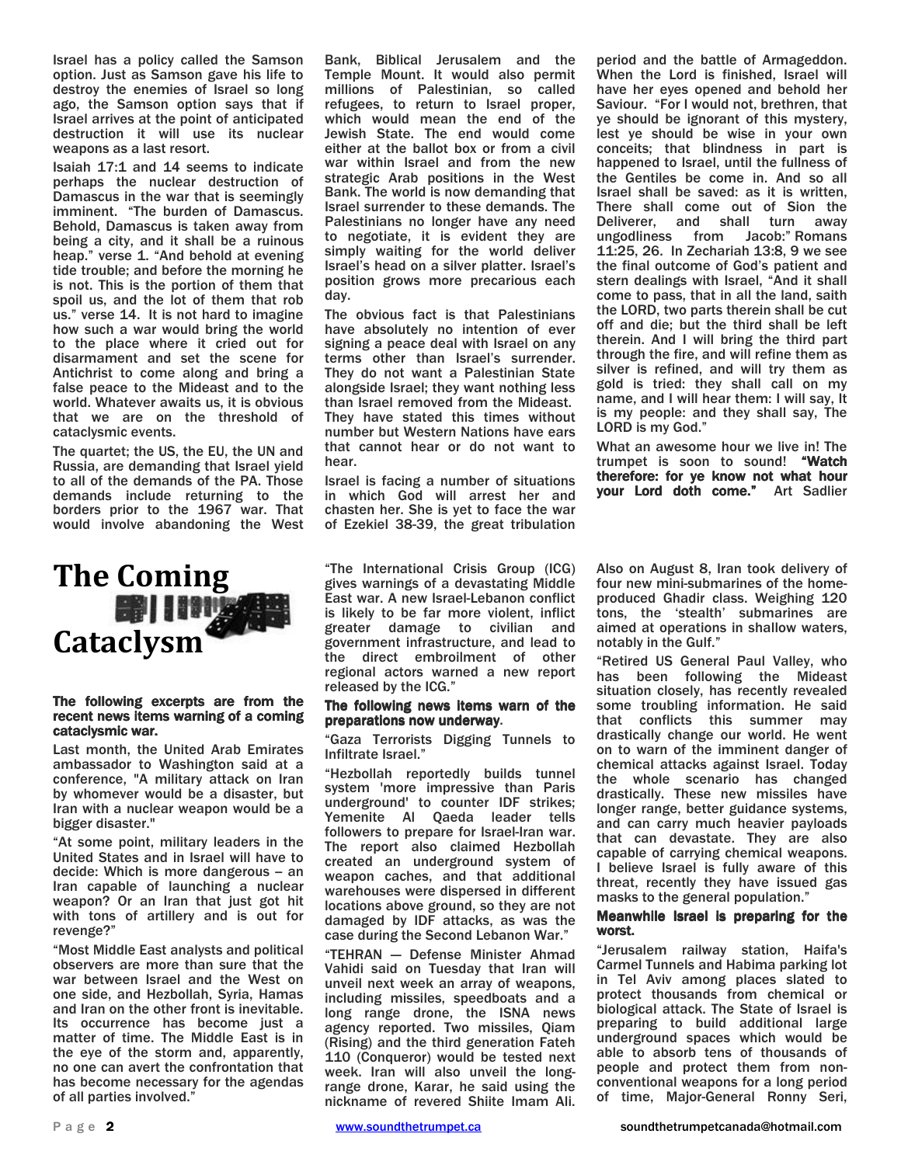Israel has a policy called the Samson option. Just as Samson gave his life to destroy the enemies of Israel so long ago, the Samson option says that if Israel arrives at the point of anticipated destruction it will use its nuclear weapons as a last resort.

Isaiah 17:1 and 14 seems to indicate perhaps the nuclear destruction of Damascus in the war that is seemingly imminent. "The burden of Damascus. Behold, Damascus is taken away from being a city, and it shall be a ruinous heap." verse 1. "And behold at evening tide trouble; and before the morning he is not. This is the portion of them that spoil us, and the lot of them that rob us." verse 14. It is not hard to imagine how such a war would bring the world to the place where it cried out for disarmament and set the scene for Antichrist to come along and bring a false peace to the Mideast and to the world. Whatever awaits us, it is obvious that we are on the threshold of cataclysmic events.

The quartet; the US, the EU, the UN and Russia, are demanding that Israel yield to all of the demands of the PA. Those demands include returning to the borders prior to the 1967 war. That would involve abandoning the West

# The Coming **国**III **A**

#### The following excerpts are from the recent news items warning of a coming cataclysmic war.

Last month, the United Arab Emirates ambassador to Washington said at a conference, "A military attack on Iran by whomever would be a disaster, but Iran with a nuclear weapon would be a bigger disaster."

"At some point, military leaders in the United States and in Israel will have to decide: Which is more dangerous - an Iran capable of launching a nuclear weapon? Or an Iran that just got hit with tons of artillery and is out for revenge?"

"Most Middle East analysts and political observers are more than sure that the war between Israel and the West on one side, and Hezbollah, Syria, Hamas and Iran on the other front is inevitable. Its occurrence has become just a matter of time. The Middle East is in the eye of the storm and, apparently, no one can avert the confrontation that has become necessary for the agendas of all parties involved."

Bank, Biblical Jerusalem and the Temple Mount. It would also permit millions of Palestinian, so called refugees, to return to Israel proper, which would mean the end of the Jewish State. The end would come either at the ballot box or from a civil war within Israel and from the new strategic Arab positions in the West Bank. The world is now demanding that Israel surrender to these demands. The Palestinians no longer have any need to negotiate, it is evident they are simply waiting for the world deliver Israel's head on a silver platter. Israel's position grows more precarious each day.

The obvious fact is that Palestinians have absolutely no intention of ever signing a peace deal with Israel on any terms other than Israel's surrender. They do not want a Palestinian State alongside Israel; they want nothing less than Israel removed from the Mideast. They have stated this times without number but Western Nations have ears that cannot hear or do not want to hear.

Israel is facing a number of situations in which God will arrest her and chasten her. She is yet to face the war of Ezekiel 38-39, the great tribulation

"The International Crisis Group (ICG) gives warnings of a devastating Middle East war. A new Israel-Lebanon conflict is likely to be far more violent, inflict greater damage to civilian and government infrastructure, and lead to the direct embroilment of other regional actors warned a new report released by the ICG."

#### The following news items warn of the preparations now underway.

"Gaza Terrorists Digging Tunnels to Infiltrate Israel."

"Hezbollah reportedly builds tunnel system 'more impressive than Paris underground' to counter IDF strikes; Yemenite Al Qaeda leader tells followers to prepare for Israel-Iran war. The report also claimed Hezbollah created an underground system of weapon caches, and that additional warehouses were dispersed in different locations above ground, so they are not damaged by IDF attacks, as was the case during the Second Lebanon War."

"TEHRAN — Defense Minister Ahmad Vahidi said on Tuesday that Iran will unveil next week an array of weapons, including missiles, speedboats and a long range drone, the ISNA news agency reported. Two missiles, Qiam (Rising) and the third generation Fateh 110 (Conqueror) would be tested next week. Iran will also unveil the longrange drone, Karar, he said using the nickname of revered Shiite Imam Ali.

period and the battle of Armageddon. When the Lord is finished, Israel will have her eyes opened and behold her Saviour. "For I would not, brethren, that ye should be ignorant of this mystery, lest ye should be wise in your own conceits; that blindness in part is happened to Israel, until the fullness of the Gentiles be come in. And so all Israel shall be saved: as it is written, There shall come out of Sion the Deliverer, and shall turn away ungodliness from Jacob:" Romans 11:25, 26. In Zechariah 13:8, 9 we see the final outcome of God's patient and stern dealings with Israel, "And it shall come to pass, that in all the land, saith the LORD, two parts therein shall be cut off and die; but the third shall be left therein. And I will bring the third part through the fire, and will refine them as silver is refined, and will try them as gold is tried: they shall call on my name, and I will hear them: I will say, It is my people: and they shall say, The LORD is my God."

What an awesome hour we live in! The trumpet is soon to sound! "Watch therefore: for ye know not what hour your Lord doth come." Art Sadlier

Also on August 8, Iran took delivery of four new mini-submarines of the homeproduced Ghadir class. Weighing 120 tons, the 'stealth' submarines are aimed at operations in shallow waters, notably in the Gulf."

"Retired US General Paul Valley, who has been following the Mideast situation closely, has recently revealed some troubling information. He said that conflicts this summer may drastically change our world. He went on to warn of the imminent danger of chemical attacks against Israel. Today the whole scenario has changed drastically. These new missiles have longer range, better guidance systems, and can carry much heavier payloads that can devastate. They are also capable of carrying chemical weapons. I believe Israel is fully aware of this threat, recently they have issued gas masks to the general population."

#### Meanwhile Israel is preparing for the worst.

"Jerusalem railway station, Haifa's Carmel Tunnels and Habima parking lot in Tel Aviv among places slated to protect thousands from chemical or biological attack. The State of Israel is preparing to build additional large underground spaces which would be able to absorb tens of thousands of people and protect them from nonconventional weapons for a long period of time, Major-General Ronny Seri,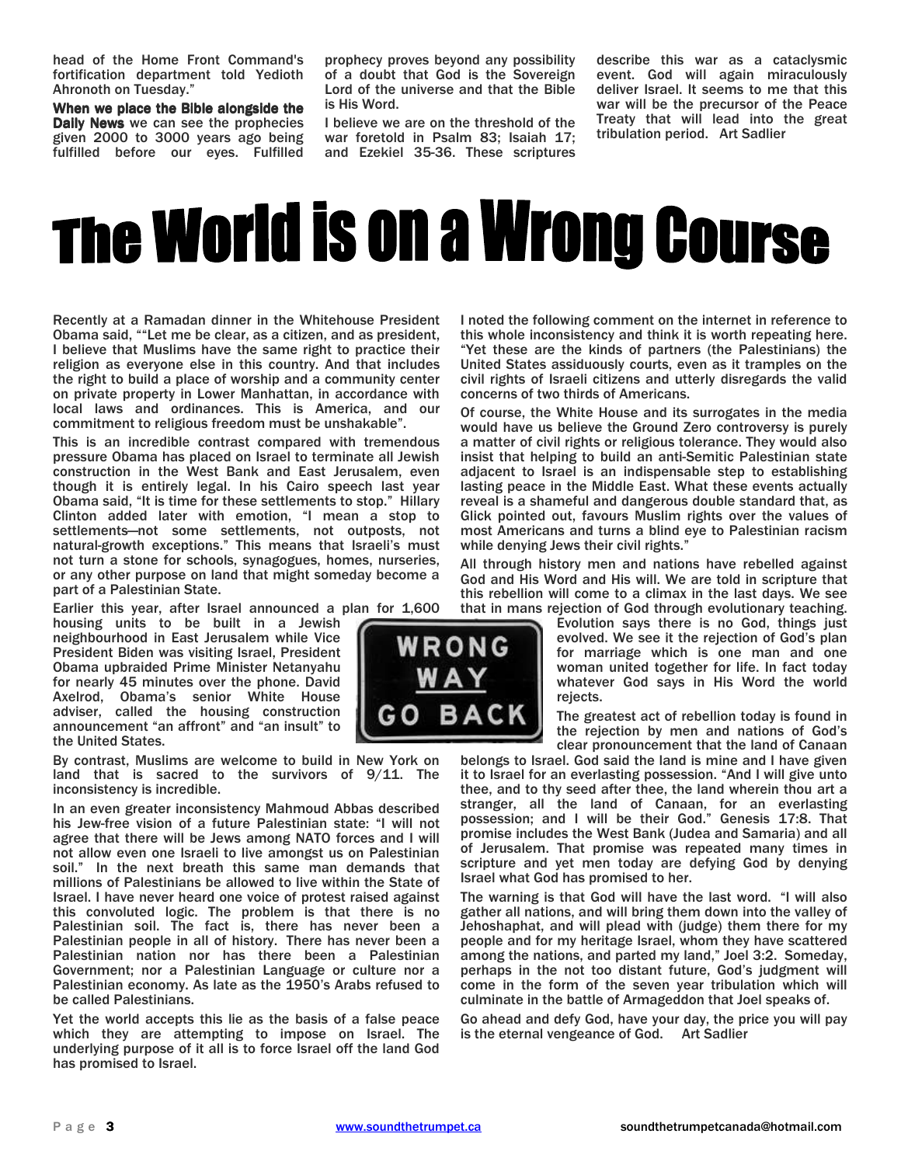head of the Home Front Command's fortification department told Yedioth Ahronoth on Tuesday."

When we place the Bible alongside the Daily News we can see the prophecies given 2000 to 3000 years ago being fulfilled before our eyes. Fulfilled prophecy proves beyond any possibility of a doubt that God is the Sovereign Lord of the universe and that the Bible is His Word.

I believe we are on the threshold of the war foretold in Psalm 83; Isaiah 17; and Ezekiel 35-36. These scriptures describe this war as a cataclysmic event. God will again miraculously deliver Israel. It seems to me that this war will be the precursor of the Peace Treaty that will lead into the great tribulation period. Art Sadlier

# The World is on a Wrong Course

Recently at a Ramadan dinner in the Whitehouse President Obama said, ""Let me be clear, as a citizen, and as president, I believe that Muslims have the same right to practice their religion as everyone else in this country. And that includes the right to build a place of worship and a community center on private property in Lower Manhattan, in accordance with local laws and ordinances. This is America, and our commitment to religious freedom must be unshakable".

This is an incredible contrast compared with tremendous pressure Obama has placed on Israel to terminate all Jewish construction in the West Bank and East Jerusalem, even though it is entirely legal. In his Cairo speech last year Obama said, "It is time for these settlements to stop." Hillary Clinton added later with emotion, "I mean a stop to settlements—not some settlements, not outposts, not natural-growth exceptions." This means that Israeli's must not turn a stone for schools, synagogues, homes, nurseries, or any other purpose on land that might someday become a part of a Palestinian State.

Earlier this year, after Israel announced a plan for 1,600

housing units to be built in a Jewish neighbourhood in East Jerusalem while Vice President Biden was visiting Israel, President Obama upbraided Prime Minister Netanyahu for nearly 45 minutes over the phone. David Axelrod, Obama's senior White House adviser, called the housing construction announcement "an affront" and "an insult" to the United States.

By contrast, Muslims are welcome to build in New York on land that is sacred to the survivors of 9/11. The inconsistency is incredible.

In an even greater inconsistency Mahmoud Abbas described his Jew-free vision of a future Palestinian state: "I will not agree that there will be Jews among NATO forces and I will not allow even one Israeli to live amongst us on Palestinian soil." In the next breath this same man demands that millions of Palestinians be allowed to live within the State of Israel. I have never heard one voice of protest raised against this convoluted logic. The problem is that there is no Palestinian soil. The fact is, there has never been a Palestinian people in all of history. There has never been a Palestinian nation nor has there been a Palestinian Government; nor a Palestinian Language or culture nor a Palestinian economy. As late as the 1950's Arabs refused to be called Palestinians.

Yet the world accepts this lie as the basis of a false peace which they are attempting to impose on Israel. The underlying purpose of it all is to force Israel off the land God has promised to Israel.

I noted the following comment on the internet in reference to this whole inconsistency and think it is worth repeating here. "Yet these are the kinds of partners (the Palestinians) the United States assiduously courts, even as it tramples on the civil rights of Israeli citizens and utterly disregards the valid concerns of two thirds of Americans.

Of course, the White House and its surrogates in the media would have us believe the Ground Zero controversy is purely a matter of civil rights or religious tolerance. They would also insist that helping to build an anti-Semitic Palestinian state adjacent to Israel is an indispensable step to establishing lasting peace in the Middle East. What these events actually reveal is a shameful and dangerous double standard that, as Glick pointed out, favours Muslim rights over the values of most Americans and turns a blind eye to Palestinian racism while denying Jews their civil rights."

All through history men and nations have rebelled against God and His Word and His will. We are told in scripture that this rebellion will come to a climax in the last days. We see that in mans rejection of God through evolutionary teaching.

Evolution says there is no God, things just evolved. We see it the rejection of God's plan for marriage which is one man and one woman united together for life. In fact today whatever God says in His Word the world rejects.

The greatest act of rebellion today is found in the rejection by men and nations of God's clear pronouncement that the land of Canaan

belongs to Israel. God said the land is mine and I have given it to Israel for an everlasting possession. "And I will give unto thee, and to thy seed after thee, the land wherein thou art a stranger, all the land of Canaan, for an everlasting possession; and I will be their God." Genesis 17:8. That promise includes the West Bank (Judea and Samaria) and all of Jerusalem. That promise was repeated many times in scripture and yet men today are defying God by denying Israel what God has promised to her.

The warning is that God will have the last word. "I will also gather all nations, and will bring them down into the valley of Jehoshaphat, and will plead with (judge) them there for my people and for my heritage Israel, whom they have scattered among the nations, and parted my land," Joel 3:2. Someday, perhaps in the not too distant future, God's judgment will come in the form of the seven year tribulation which will culminate in the battle of Armageddon that Joel speaks of.

Go ahead and defy God, have your day, the price you will pay is the eternal vengeance of God. Art Sadlier